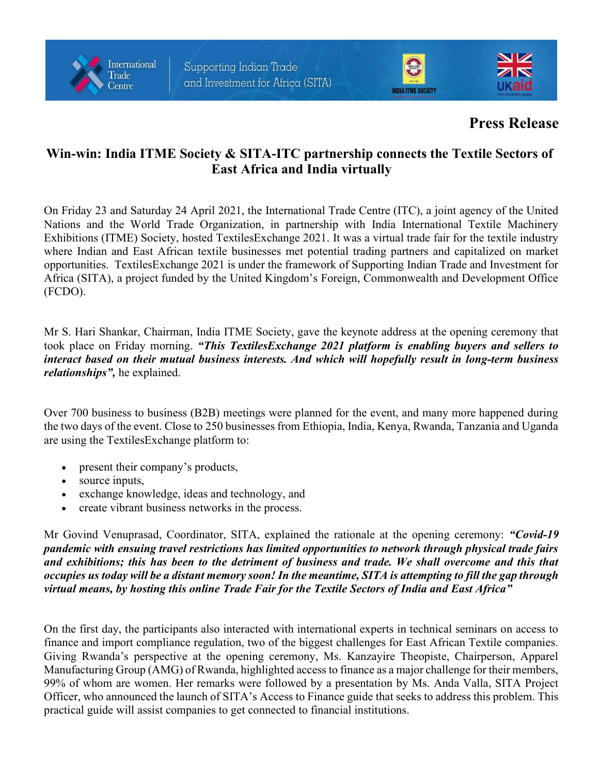





## Press Release

## Win-win: India ITME Society & SITA-ITC partnership connects the Textile Sectors of East Africa and India virtually

On Friday 23 and Saturday 24 April 2021, the International Trade Centre (ITC), a joint agency of the United Nations and the World Trade Organization, in partnership with India International Textile Machinery Exhibitions (ITME) Society, hosted TextilesExchange 2021. It was a virtual trade fair for the textile industry where Indian and East African textile businesses met potential trading partners and capitalized on market opportunities. TextilesExchange 2021 is under the framework of Supporting Indian Trade and Investment for Africa (SITA), a project funded by the United Kingdom's Foreign, Commonwealth and Development Office (FCDO).

Mr S. Hari Shankar, Chairman, India ITME Society, gave the keynote address at the opening ceremony that took place on Friday morning. "This Textiles Exchange 2021 platform is enabling buyers and sellers to interact based on their mutual business interests. And which will hopefully result in long-term business relationships", he explained.

Over 700 business to business (B2B) meetings were planned for the event, and many more happened during the two days of the event. Close to 250 businesses from Ethiopia, India, Kenya, Rwanda, Tanzania and Uganda are using the TextilesExchange platform to:

- present their company's products,
- source inputs,
- exchange knowledge, ideas and technology, and
- create vibrant business networks in the process.

Mr Govind Venuprasad, Coordinator, SITA, explained the rationale at the opening ceremony: "Covid-19" pandemic with ensuing travel restrictions has limited opportunities to network through physical trade fairs and exhibitions; this has been to the detriment of business and trade. We shall overcome and this that occupies us today will be a distant memory soon! In the meantime, SITA is attempting to fill the gap through virtual means, by hosting this online Trade Fair for the Textile Sectors of India and East Africa"

On the first day, the participants also interacted with international experts in technical seminars on access to finance and import compliance regulation, two of the biggest challenges for East African Textile companies. Giving Rwanda's perspective at the opening ceremony, Ms. Kanzayire Theopiste, Chairperson, Apparel Manufacturing Group (AMG) of Rwanda, highlighted access to finance as a major challenge for their members, 99% of whom are women. Her remarks were followed by a presentation by Ms. Anda Valla, SITA Project Officer, who announced the launch of SITA's Access to Finance guide that seeks to address this problem. This practical guide will assist companies to get connected to financial institutions.